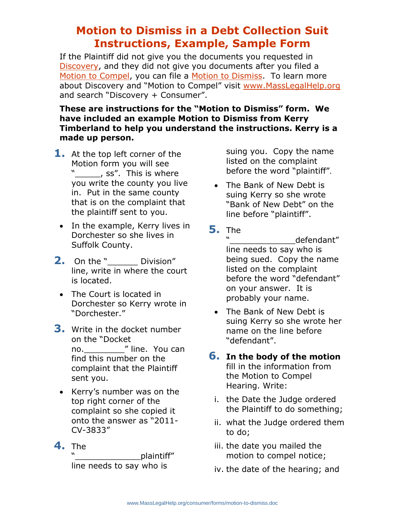# **Motion to Dismiss in a Debt Collection Suit Instructions, Example, Sample Form**

If the Plaintiff did not give you the documents you requested in [Discovery,](http://www.masslegalhelp.org/consumer/debt/court/discovery) and they did not give you documents after you filed a [Motion to Compel,](http://www.masslegalhelp.org/consumer/debt/court/discovery-no-response) you can file a [Motion to Dismiss.](http://www.masslegalhelp.org/consumer/debt/court/discovery-no-response#dismiss) To learn more about Discovery and "Motion to Compel" visit [www.MassLegalHelp.org](http://www.masslegalhelp.org/) and search "Discovery + Consumer".

## **These are instructions for the "Motion to Dismiss" form. We have included an example Motion to Dismiss from Kerry Timberland to help you understand the instructions. Kerry is a made up person.**

- **1.** At the top left corner of the Motion form you will see "\_\_\_\_\_, ss". This is where you write the county you live in. Put in the same county that is on the complaint that the plaintiff sent to you.
- In the example, Kerry lives in Dorchester so she lives in Suffolk County.
- **2.** On the " Division" line, write in where the court is located.
	- The Court is located in Dorchester so Kerry wrote in "Dorchester."
- **3.** Write in the docket number on the "Docket no. The Mine. You can find this number on the complaint that the Plaintiff sent you.
	- Kerry's number was on the top right corner of the complaint so she copied it onto the answer as "2011- CV-3833"
- **4.** The

plaintiff" line needs to say who is

suing you. Copy the name listed on the complaint before the word "plaintiff".

- The Bank of New Debt is suing Kerry so she wrote "Bank of New Debt" on the line before "plaintiff".
- **5.** The

defendant" line needs to say who is being sued. Copy the name listed on the complaint before the word "defendant" on your answer. It is probably your name.

• The Bank of New Debt is suing Kerry so she wrote her name on the line before "defendant".

### **6. In the body of the motion** fill in the information from the Motion to Compel Hearing. Write:

- i. the Date the Judge ordered the Plaintiff to do something;
- ii. what the Judge ordered them to do;
- iii. the date you mailed the motion to compel notice;
- iv. the date of the hearing; and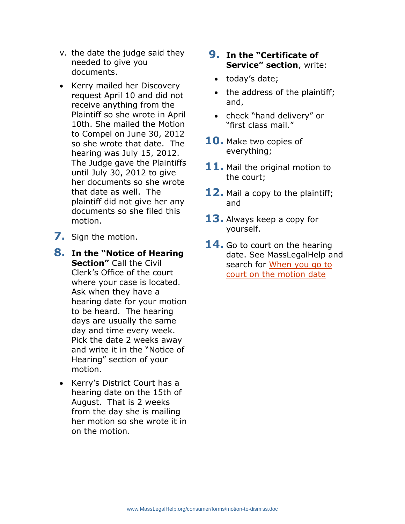- v. the date the judge said they needed to give you documents.
- Kerry mailed her Discovery request April 10 and did not receive anything from the Plaintiff so she wrote in April 10th. She mailed the Motion to Compel on June 30, 2012 so she wrote that date. The hearing was July 15, 2012. The Judge gave the Plaintiffs until July 30, 2012 to give her documents so she wrote that date as well. The plaintiff did not give her any documents so she filed this motion.
- **7.** Sign the motion.
- **8. In the "Notice of Hearing Section"** Call the Civil Clerk's Office of the court where your case is located. Ask when they have a hearing date for your motion to be heard. The hearing days are usually the same day and time every week. Pick the date 2 weeks away and write it in the "Notice of Hearing" section of your motion.
	- Kerry's District Court has a hearing date on the 15th of August. That is 2 weeks from the day she is mailing her motion so she wrote it in on the motion.

# **9. In the "Certificate of Service" section**, write:

- today's date;
- the address of the plaintiff; and,
- check "hand delivery" or "first class mail."
- **10.** Make two copies of everything;
- **11.** Mail the original motion to the court;
- **12.** Mail a copy to the plaintiff; and
- **13.** Always keep a copy for yourself.
- **14.** Go to court on the hearing date. See MassLegalHelp and search for [When you go to](http://www.masslegalhelp.org/consumer/debt/court/discovery-no-response#compel_motion_date)  [court on the motion date](http://www.masslegalhelp.org/consumer/debt/court/discovery-no-response#compel_motion_date)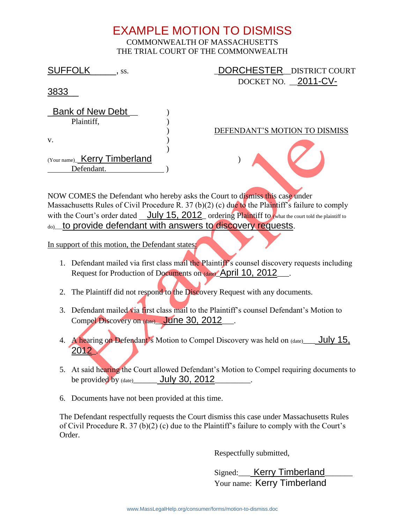# EXAMPLE MOTION TO DISMISS COMMONWEALTH OF MASSACHUSETTS THE TRIAL COURT OF THE COMMONWEALTH

SUFFOLK 5.5. The SUFFOLK of the SUFFOLK of the SUFFOLK of the SUFFOLK of the SUFFOLK of the SUFFOLK of the SUFFOLK of the SUFFOLK of the SUFFOLK of the SUFFOLK of the SUFFOLK of the SUFFOLK of the SUFFOLK of the SUFFOLK of DOCKET NO. 2011-CV-3833\_\_ Bank of New Debt Plaintiff, ) ) DEFENDANT'S MOTION TO DISMISS  $\mathbf{v}$ . ) (Your name)\_ Kerry Timberland ) Defendant.

NOW COMES the Defendant who hereby asks the Court to dismiss this case under Massachusetts Rules of Civil Procedure R. 37 (b)(2) (c) due to the Plaintiff's failure to comply with the Court's order dated <u>July 15, 2012</u> ordering Plaintiff to (what the court told the plaintiff to do) to provide defendant with answers to discovery requests.

In support of this motion, the Defendant states:

- 1. Defendant mailed via first class mail the Plaintiff's counsel discovery requests including Request for Production of Documents on (date) April 10, 2012
- 2. The Plaintiff did not respond to the Discovery Request with any documents.
- 3. Defendant mailed via first class mail to the Plaintiff's counsel Defendant's Motion to Compel Discovery on (date) June 30, 2012\_\_\_.
- 4. A hearing on Defendant's Motion to Compel Discovery was held on (date) July 15, 2012\_.
- 5. At said hearing the Court allowed Defendant's Motion to Compel requiring documents to be provided by  $_{\text{(date)}}$  July 30, 2012
- 6. Documents have not been provided at this time.

The Defendant respectfully requests the Court dismiss this case under Massachusetts Rules of Civil Procedure R. 37 (b)(2) (c) due to the Plaintiff's failure to comply with the Court's Order.

Respectfully submitted,

Signed:\_\_\_\_ Kerry Timberland\_ Your name: Kerry Timberland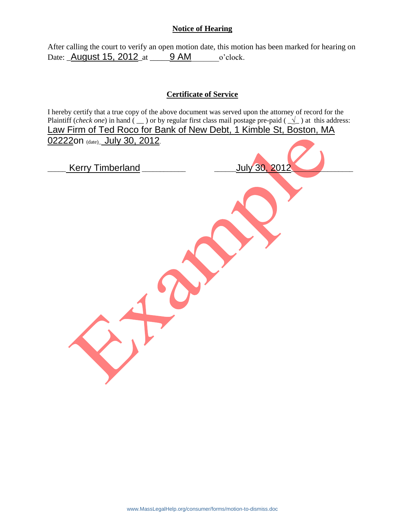#### **Notice of Hearing**

After calling the court to verify an open motion date, this motion has been marked for hearing on Date: **\_August 15, 2012\_at \_\_\_\_\_9 AM** o'clock.

### **Certificate of Service**

I hereby certify that a true copy of the above document was served upon the attorney of record for the Plaintiff (*check one*) in hand (  $\angle$  ) or by regular first class mail postage pre-paid (  $\angle\angle$  ) at this address: Law Firm of Ted Roco for Bank of New Debt, 1 Kimble St, Boston, MA 02222on (date)\_July 30, 2012.

| <b>Kerry Timberland</b> | <u>July 30, 2012</u> |
|-------------------------|----------------------|
|                         |                      |
|                         |                      |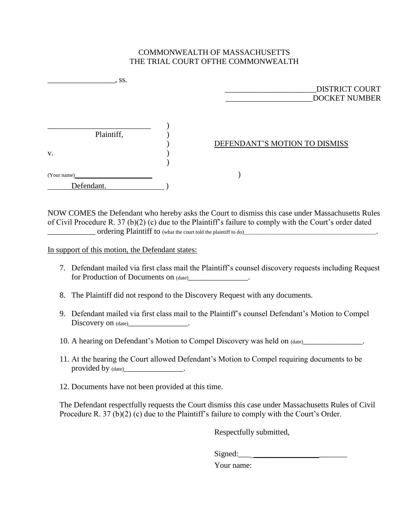#### COMMONWEALTH OF MASSACHUSETTS THE TRIAL COURT OFTHE COMMONWEALTH

| $\cdot$ SS.      | <b>DISTRICT COURT</b><br><b>DOCKET NUMBER</b> |
|------------------|-----------------------------------------------|
| Plaintiff,<br>V. | DEFENDANT'S MOTION TO DISMISS                 |
| (Your name)      |                                               |
| Defendant.       |                                               |

NOW COMES the Defendant who hereby asks the Court to dismiss this case under Massachusetts Rules of Civil Procedure R. 37 (b)(2) (c) due to the Plaintiff's failure to comply with the Court's order dated \_\_\_\_\_\_\_\_\_\_\_\_ ordering Plaintiff to (what the court told the plaintiff to do)\_\_\_\_\_\_\_\_\_\_\_\_\_\_\_\_\_\_\_\_\_\_\_\_\_\_\_\_\_\_\_\_\_\_\_\_\_\_\_\_\_\_\_\_\_\_\_\_\_\_.

In support of this motion, the Defendant states:

- 7. Defendant mailed via first class mail the Plaintiff's counsel discovery requests including Request for Production of Documents on (date) example.
- 8. The Plaintiff did not respond to the Discovery Request with any documents.
- 9. Defendant mailed via first class mail to the Plaintiff's counsel Defendant's Motion to Compel Discovery on (date)\_\_\_\_\_\_\_\_\_\_\_\_\_\_\_\_\_.
- 10. A hearing on Defendant's Motion to Compel Discovery was held on (date)
- 11. At the hearing the Court allowed Defendant's Motion to Compel requiring documents to be provided by (date)\_\_\_\_\_\_\_\_\_\_\_\_\_\_\_\_\_\_\_\_.
- 12. Documents have not been provided at this time.

The Defendant respectfully requests the Court dismiss this case under Massachusetts Rules of Civil Procedure R. 37 (b)(2) (c) due to the Plaintiff's failure to comply with the Court's Order.

Respectfully submitted,

Signed:\_\_\_ *\_\_\_\_\_\_\_\_\_\_\_*\_\_\_\_\_\_\_

Your name: